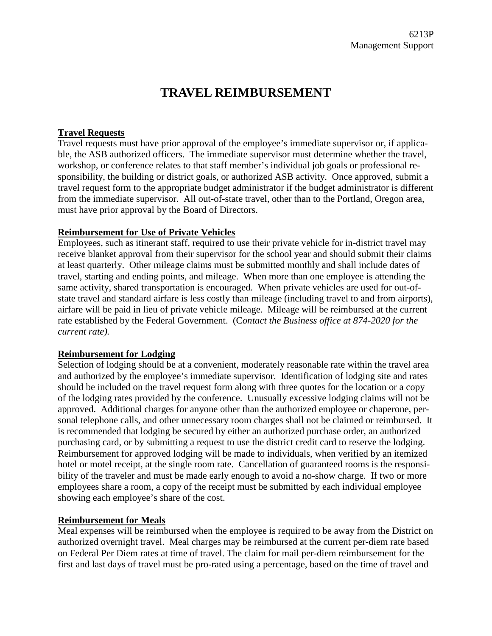# **TRAVEL REIMBURSEMENT**

### **Travel Requests**

Travel requests must have prior approval of the employee's immediate supervisor or, if applicable, the ASB authorized officers. The immediate supervisor must determine whether the travel, workshop, or conference relates to that staff member's individual job goals or professional responsibility, the building or district goals, or authorized ASB activity. Once approved, submit a travel request form to the appropriate budget administrator if the budget administrator is different from the immediate supervisor. All out-of-state travel, other than to the Portland, Oregon area, must have prior approval by the Board of Directors.

#### **Reimbursement for Use of Private Vehicles**

Employees, such as itinerant staff, required to use their private vehicle for in-district travel may receive blanket approval from their supervisor for the school year and should submit their claims at least quarterly. Other mileage claims must be submitted monthly and shall include dates of travel, starting and ending points, and mileage. When more than one employee is attending the same activity, shared transportation is encouraged. When private vehicles are used for out-ofstate travel and standard airfare is less costly than mileage (including travel to and from airports), airfare will be paid in lieu of private vehicle mileage. Mileage will be reimbursed at the current rate established by the Federal Government. (C*ontact the Business office at 874-2020 for the current rate).*

#### **Reimbursement for Lodging**

Selection of lodging should be at a convenient, moderately reasonable rate within the travel area and authorized by the employee's immediate supervisor. Identification of lodging site and rates should be included on the travel request form along with three quotes for the location or a copy of the lodging rates provided by the conference. Unusually excessive lodging claims will not be approved. Additional charges for anyone other than the authorized employee or chaperone, personal telephone calls, and other unnecessary room charges shall not be claimed or reimbursed. It is recommended that lodging be secured by either an authorized purchase order, an authorized purchasing card, or by submitting a request to use the district credit card to reserve the lodging. Reimbursement for approved lodging will be made to individuals, when verified by an itemized hotel or motel receipt, at the single room rate. Cancellation of guaranteed rooms is the responsibility of the traveler and must be made early enough to avoid a no-show charge. If two or more employees share a room, a copy of the receipt must be submitted by each individual employee showing each employee's share of the cost.

#### **Reimbursement for Meals**

Meal expenses will be reimbursed when the employee is required to be away from the District on authorized overnight travel. Meal charges may be reimbursed at the current per-diem rate based on Federal Per Diem rates at time of travel. The claim for mail per-diem reimbursement for the first and last days of travel must be pro-rated using a percentage, based on the time of travel and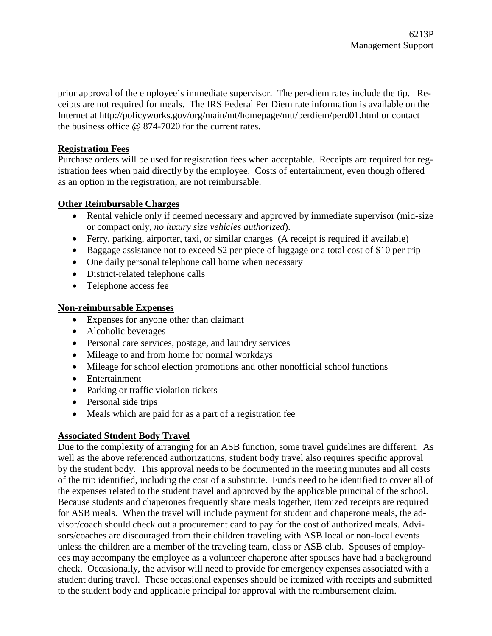prior approval of the employee's immediate supervisor. The per-diem rates include the tip. Receipts are not required for meals. The IRS Federal Per Diem rate information is available on the Internet at<http://policyworks.gov/org/main/mt/homepage/mtt/perdiem/perd01.html> or contact the business office @ 874-7020 for the current rates.

## **Registration Fees**

Purchase orders will be used for registration fees when acceptable. Receipts are required for registration fees when paid directly by the employee. Costs of entertainment, even though offered as an option in the registration, are not reimbursable.

## **Other Reimbursable Charges**

- Rental vehicle only if deemed necessary and approved by immediate supervisor (mid-size or compact only, *no luxury size vehicles authorized*).
- Ferry, parking, airporter, taxi, or similar charges (A receipt is required if available)
- Baggage assistance not to exceed \$2 per piece of luggage or a total cost of \$10 per trip
- One daily personal telephone call home when necessary
- District-related telephone calls
- Telephone access fee

## **Non-reimbursable Expenses**

- Expenses for anyone other than claimant
- Alcoholic beverages
- Personal care services, postage, and laundry services
- Mileage to and from home for normal workdays
- Mileage for school election promotions and other nonofficial school functions
- Entertainment
- Parking or traffic violation tickets
- Personal side trips
- Meals which are paid for as a part of a registration fee

# **Associated Student Body Travel**

Due to the complexity of arranging for an ASB function, some travel guidelines are different. As well as the above referenced authorizations, student body travel also requires specific approval by the student body. This approval needs to be documented in the meeting minutes and all costs of the trip identified, including the cost of a substitute. Funds need to be identified to cover all of the expenses related to the student travel and approved by the applicable principal of the school. Because students and chaperones frequently share meals together, itemized receipts are required for ASB meals. When the travel will include payment for student and chaperone meals, the advisor/coach should check out a procurement card to pay for the cost of authorized meals. Advisors/coaches are discouraged from their children traveling with ASB local or non-local events unless the children are a member of the traveling team, class or ASB club. Spouses of employees may accompany the employee as a volunteer chaperone after spouses have had a background check. Occasionally, the advisor will need to provide for emergency expenses associated with a student during travel. These occasional expenses should be itemized with receipts and submitted to the student body and applicable principal for approval with the reimbursement claim.